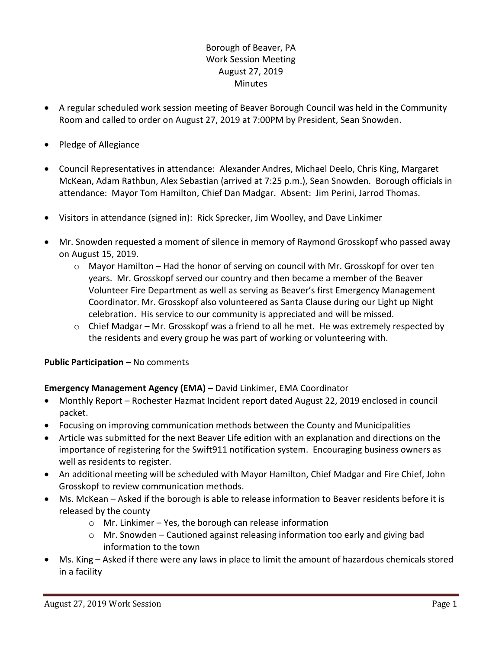# Borough of Beaver, PA Work Session Meeting August 27, 2019 **Minutes**

- A regular scheduled work session meeting of Beaver Borough Council was held in the Community Room and called to order on August 27, 2019 at 7:00PM by President, Sean Snowden.
- Pledge of Allegiance
- Council Representatives in attendance: Alexander Andres, Michael Deelo, Chris King, Margaret McKean, Adam Rathbun, Alex Sebastian (arrived at 7:25 p.m.), Sean Snowden. Borough officials in attendance: Mayor Tom Hamilton, Chief Dan Madgar. Absent: Jim Perini, Jarrod Thomas.
- Visitors in attendance (signed in): Rick Sprecker, Jim Woolley, and Dave Linkimer
- Mr. Snowden requested a moment of silence in memory of Raymond Grosskopf who passed away on August 15, 2019.
	- o Mayor Hamilton Had the honor of serving on council with Mr. Grosskopf for over ten years. Mr. Grosskopf served our country and then became a member of the Beaver Volunteer Fire Department as well as serving as Beaver's first Emergency Management Coordinator. Mr. Grosskopf also volunteered as Santa Clause during our Light up Night celebration. His service to our community is appreciated and will be missed.
	- $\circ$  Chief Madgar Mr. Grosskopf was a friend to all he met. He was extremely respected by the residents and every group he was part of working or volunteering with.

## **Public Participation –** No comments

## **Emergency Management Agency (EMA) –** David Linkimer, EMA Coordinator

- Monthly Report Rochester Hazmat Incident report dated August 22, 2019 enclosed in council packet.
- Focusing on improving communication methods between the County and Municipalities
- Article was submitted for the next Beaver Life edition with an explanation and directions on the importance of registering for the Swift911 notification system. Encouraging business owners as well as residents to register.
- An additional meeting will be scheduled with Mayor Hamilton, Chief Madgar and Fire Chief, John Grosskopf to review communication methods.
- Ms. McKean Asked if the borough is able to release information to Beaver residents before it is released by the county
	- o Mr. Linkimer Yes, the borough can release information
	- $\circ$  Mr. Snowden Cautioned against releasing information too early and giving bad information to the town
- Ms. King Asked if there were any laws in place to limit the amount of hazardous chemicals stored in a facility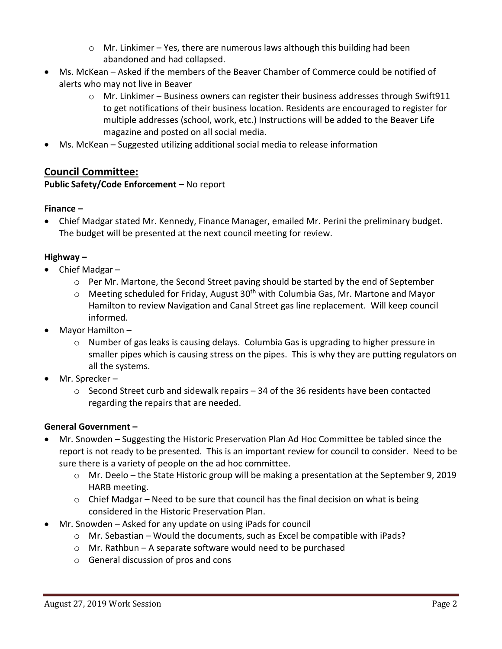- $\circ$  Mr. Linkimer Yes, there are numerous laws although this building had been abandoned and had collapsed.
- Ms. McKean Asked if the members of the Beaver Chamber of Commerce could be notified of alerts who may not live in Beaver
	- $\circ$  Mr. Linkimer Business owners can register their business addresses through Swift911 to get notifications of their business location. Residents are encouraged to register for multiple addresses (school, work, etc.) Instructions will be added to the Beaver Life magazine and posted on all social media.
- Ms. McKean Suggested utilizing additional social media to release information

# **Council Committee:**

# **Public Safety/Code Enforcement –** No report

## **Finance –**

 Chief Madgar stated Mr. Kennedy, Finance Manager, emailed Mr. Perini the preliminary budget. The budget will be presented at the next council meeting for review.

# **Highway –**

- Chief Madgar
	- $\circ$  Per Mr. Martone, the Second Street paving should be started by the end of September
	- $\circ$  Meeting scheduled for Friday, August 30<sup>th</sup> with Columbia Gas, Mr. Martone and Mayor Hamilton to review Navigation and Canal Street gas line replacement. Will keep council informed.
- Mayor Hamilton
	- o Number of gas leaks is causing delays. Columbia Gas is upgrading to higher pressure in smaller pipes which is causing stress on the pipes. This is why they are putting regulators on all the systems.
- Mr. Sprecker
	- $\circ$  Second Street curb and sidewalk repairs 34 of the 36 residents have been contacted regarding the repairs that are needed.

## **General Government –**

- Mr. Snowden Suggesting the Historic Preservation Plan Ad Hoc Committee be tabled since the report is not ready to be presented. This is an important review for council to consider. Need to be sure there is a variety of people on the ad hoc committee.
	- o Mr. Deelo the State Historic group will be making a presentation at the September 9, 2019 HARB meeting.
	- $\circ$  Chief Madgar Need to be sure that council has the final decision on what is being considered in the Historic Preservation Plan.
- Mr. Snowden Asked for any update on using iPads for council
	- o Mr. Sebastian Would the documents, such as Excel be compatible with iPads?
	- $\circ$  Mr. Rathbun A separate software would need to be purchased
	- o General discussion of pros and cons